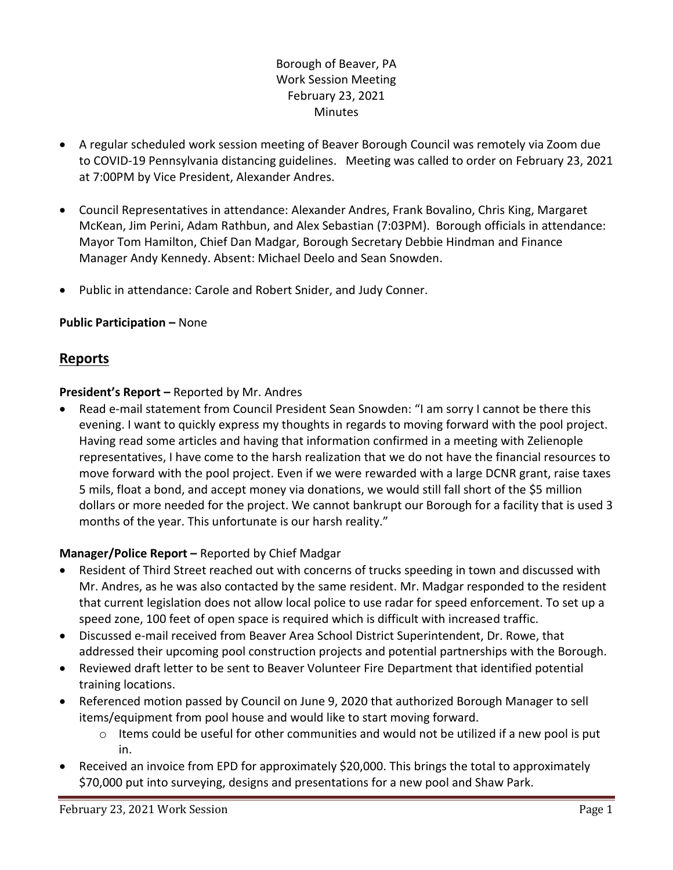## Borough of Beaver, PA Work Session Meeting February 23, 2021 **Minutes**

- A regular scheduled work session meeting of Beaver Borough Council was remotely via Zoom due to COVID-19 Pennsylvania distancing guidelines. Meeting was called to order on February 23, 2021 at 7:00PM by Vice President, Alexander Andres.
- Council Representatives in attendance: Alexander Andres, Frank Bovalino, Chris King, Margaret McKean, Jim Perini, Adam Rathbun, and Alex Sebastian (7:03PM). Borough officials in attendance: Mayor Tom Hamilton, Chief Dan Madgar, Borough Secretary Debbie Hindman and Finance Manager Andy Kennedy. Absent: Michael Deelo and Sean Snowden.
- Public in attendance: Carole and Robert Snider, and Judy Conner.

## **Public Participation –** None

# **Reports**

## **President's Report –** Reported by Mr. Andres

 Read e-mail statement from Council President Sean Snowden: "I am sorry I cannot be there this evening. I want to quickly express my thoughts in regards to moving forward with the pool project. Having read some articles and having that information confirmed in a meeting with Zelienople representatives, I have come to the harsh realization that we do not have the financial resources to move forward with the pool project. Even if we were rewarded with a large DCNR grant, raise taxes 5 mils, float a bond, and accept money via donations, we would still fall short of the \$5 million dollars or more needed for the project. We cannot bankrupt our Borough for a facility that is used 3 months of the year. This unfortunate is our harsh reality."

## **Manager/Police Report –** Reported by Chief Madgar

- Resident of Third Street reached out with concerns of trucks speeding in town and discussed with Mr. Andres, as he was also contacted by the same resident. Mr. Madgar responded to the resident that current legislation does not allow local police to use radar for speed enforcement. To set up a speed zone, 100 feet of open space is required which is difficult with increased traffic.
- Discussed e-mail received from Beaver Area School District Superintendent, Dr. Rowe, that addressed their upcoming pool construction projects and potential partnerships with the Borough.
- Reviewed draft letter to be sent to Beaver Volunteer Fire Department that identified potential training locations.
- Referenced motion passed by Council on June 9, 2020 that authorized Borough Manager to sell items/equipment from pool house and would like to start moving forward.
	- $\circ$  Items could be useful for other communities and would not be utilized if a new pool is put in.
- Received an invoice from EPD for approximately \$20,000. This brings the total to approximately \$70,000 put into surveying, designs and presentations for a new pool and Shaw Park.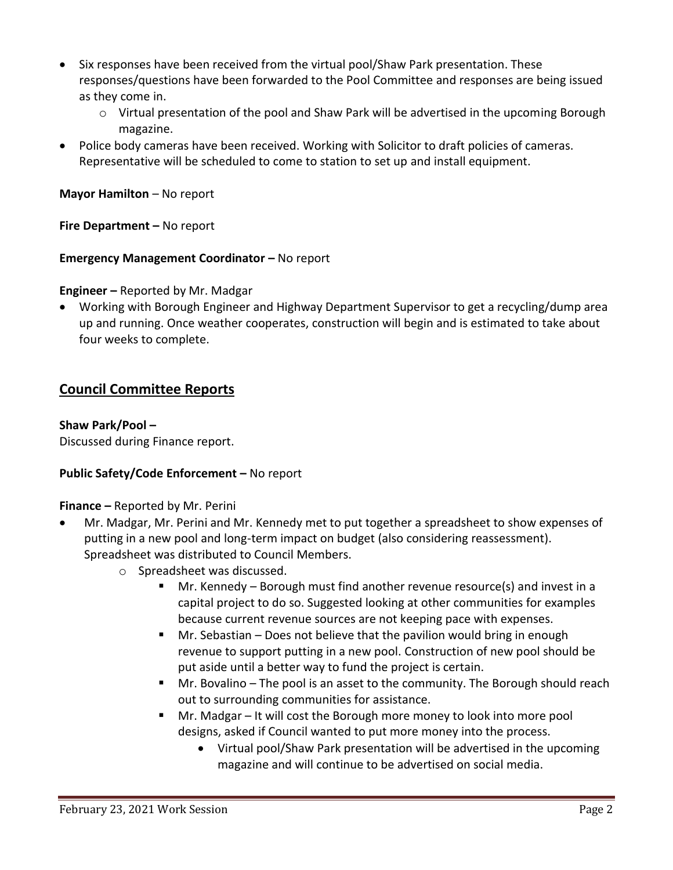- Six responses have been received from the virtual pool/Shaw Park presentation. These responses/questions have been forwarded to the Pool Committee and responses are being issued as they come in.
	- o Virtual presentation of the pool and Shaw Park will be advertised in the upcoming Borough magazine.
- Police body cameras have been received. Working with Solicitor to draft policies of cameras. Representative will be scheduled to come to station to set up and install equipment.

**Mayor Hamilton** – No report

**Fire Department – No report** 

#### **Emergency Management Coordinator – No report**

**Engineer –** Reported by Mr. Madgar

 Working with Borough Engineer and Highway Department Supervisor to get a recycling/dump area up and running. Once weather cooperates, construction will begin and is estimated to take about four weeks to complete.

# **Council Committee Reports**

#### **Shaw Park/Pool –**

Discussed during Finance report.

#### **Public Safety/Code Enforcement –** No report

#### **Finance –** Reported by Mr. Perini

- Mr. Madgar, Mr. Perini and Mr. Kennedy met to put together a spreadsheet to show expenses of putting in a new pool and long-term impact on budget (also considering reassessment). Spreadsheet was distributed to Council Members.
	- o Spreadsheet was discussed.
		- Mr. Kennedy Borough must find another revenue resource(s) and invest in a capital project to do so. Suggested looking at other communities for examples because current revenue sources are not keeping pace with expenses.
		- Mr. Sebastian Does not believe that the pavilion would bring in enough revenue to support putting in a new pool. Construction of new pool should be put aside until a better way to fund the project is certain.
		- Mr. Bovalino The pool is an asset to the community. The Borough should reach out to surrounding communities for assistance.
		- Mr. Madgar It will cost the Borough more money to look into more pool designs, asked if Council wanted to put more money into the process.
			- Virtual pool/Shaw Park presentation will be advertised in the upcoming magazine and will continue to be advertised on social media.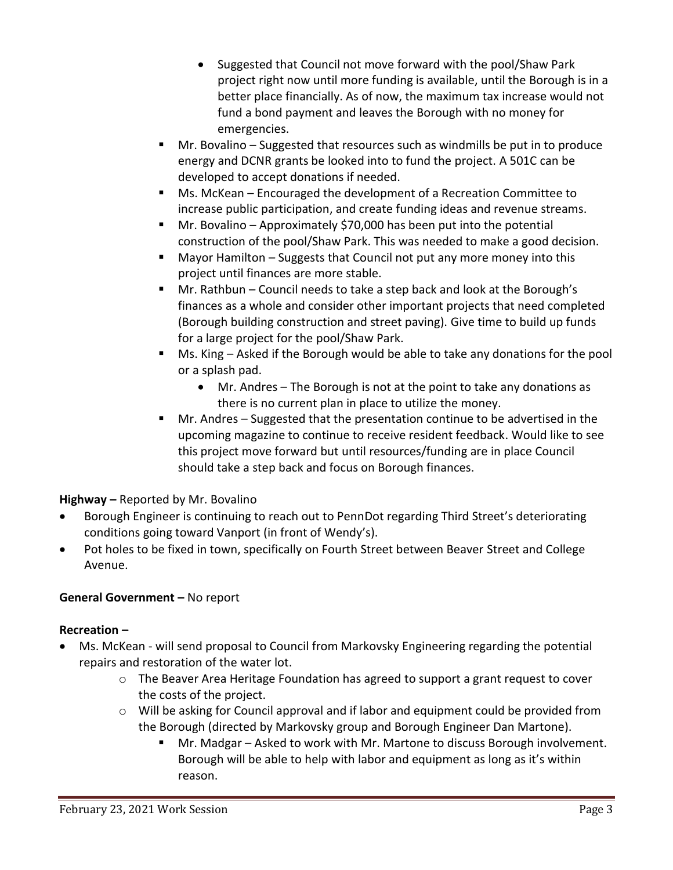- Suggested that Council not move forward with the pool/Shaw Park project right now until more funding is available, until the Borough is in a better place financially. As of now, the maximum tax increase would not fund a bond payment and leaves the Borough with no money for emergencies.
- Mr. Bovalino Suggested that resources such as windmills be put in to produce energy and DCNR grants be looked into to fund the project. A 501C can be developed to accept donations if needed.
- Ms. McKean Encouraged the development of a Recreation Committee to increase public participation, and create funding ideas and revenue streams.
- Mr. Bovalino Approximately \$70,000 has been put into the potential construction of the pool/Shaw Park. This was needed to make a good decision.
- Mayor Hamilton Suggests that Council not put any more money into this project until finances are more stable.
- Mr. Rathbun Council needs to take a step back and look at the Borough's finances as a whole and consider other important projects that need completed (Borough building construction and street paving). Give time to build up funds for a large project for the pool/Shaw Park.
- Ms. King Asked if the Borough would be able to take any donations for the pool or a splash pad.
	- Mr. Andres The Borough is not at the point to take any donations as there is no current plan in place to utilize the money.
- Mr. Andres Suggested that the presentation continue to be advertised in the upcoming magazine to continue to receive resident feedback. Would like to see this project move forward but until resources/funding are in place Council should take a step back and focus on Borough finances.

# **Highway –** Reported by Mr. Bovalino

- Borough Engineer is continuing to reach out to PennDot regarding Third Street's deteriorating conditions going toward Vanport (in front of Wendy's).
- Pot holes to be fixed in town, specifically on Fourth Street between Beaver Street and College Avenue.

# **General Government –** No report

# **Recreation –**

- Ms. McKean will send proposal to Council from Markovsky Engineering regarding the potential repairs and restoration of the water lot.
	- $\circ$  The Beaver Area Heritage Foundation has agreed to support a grant request to cover the costs of the project.
	- $\circ$  Will be asking for Council approval and if labor and equipment could be provided from the Borough (directed by Markovsky group and Borough Engineer Dan Martone).
		- Mr. Madgar Asked to work with Mr. Martone to discuss Borough involvement. Borough will be able to help with labor and equipment as long as it's within reason.